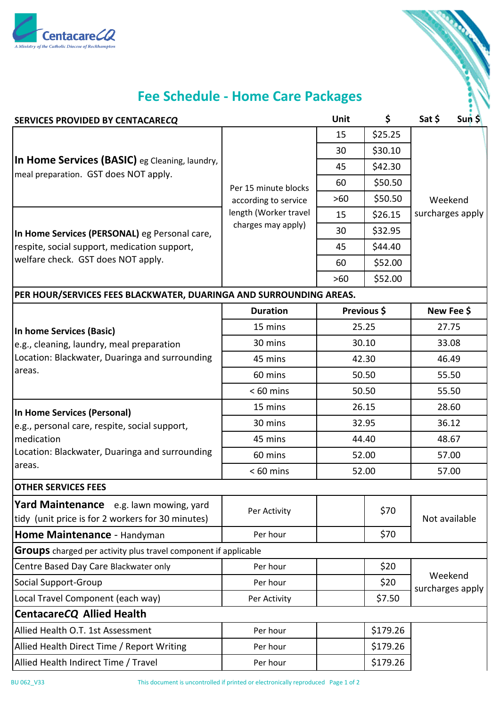



## **Fee Schedule - Home Care Packages**

| SERVICES PROVIDED BY CENTACARECQ                                                                      |                                                                                             |       | \$          | Sat \$                      | SunS  |
|-------------------------------------------------------------------------------------------------------|---------------------------------------------------------------------------------------------|-------|-------------|-----------------------------|-------|
| In Home Services (BASIC) eg Cleaning, laundry,<br>meal preparation. GST does NOT apply.               | Per 15 minute blocks<br>according to service<br>length (Worker travel<br>charges may apply) | 15    | \$25.25     |                             |       |
|                                                                                                       |                                                                                             | 30    | \$30.10     |                             |       |
|                                                                                                       |                                                                                             | 45    | \$42.30     |                             |       |
|                                                                                                       |                                                                                             | 60    | \$50.50     |                             |       |
|                                                                                                       |                                                                                             | $>60$ | \$50.50     | Weekend                     |       |
|                                                                                                       |                                                                                             | 15    | \$26.15     | surcharges apply            |       |
| In Home Services (PERSONAL) eg Personal care,                                                         |                                                                                             | 30    | \$32.95     |                             |       |
| respite, social support, medication support,                                                          |                                                                                             | 45    | \$44.40     |                             |       |
| welfare check. GST does NOT apply.                                                                    |                                                                                             | 60    | \$52.00     |                             |       |
|                                                                                                       |                                                                                             | $>60$ | \$52.00     |                             |       |
| PER HOUR/SERVICES FEES BLACKWATER, DUARINGA AND SURROUNDING AREAS.                                    |                                                                                             |       |             |                             |       |
|                                                                                                       | <b>Duration</b>                                                                             |       | Previous \$ | New Fee \$                  |       |
| In home Services (Basic)                                                                              | 15 mins                                                                                     |       | 25.25       |                             | 27.75 |
| e.g., cleaning, laundry, meal preparation<br>Location: Blackwater, Duaringa and surrounding<br>areas. | 30 mins                                                                                     | 30.10 |             | 33.08                       |       |
|                                                                                                       | 45 mins                                                                                     | 42.30 |             | 46.49                       |       |
|                                                                                                       | 60 mins                                                                                     | 50.50 |             | 55.50                       |       |
|                                                                                                       | $< 60$ mins                                                                                 | 50.50 |             | 55.50                       |       |
| In Home Services (Personal)                                                                           | 15 mins                                                                                     | 26.15 |             | 28.60                       |       |
| e.g., personal care, respite, social support,                                                         | 30 mins                                                                                     | 32.95 |             | 36.12                       |       |
| medication                                                                                            | 45 mins                                                                                     | 44.40 |             | 48.67                       |       |
| Location: Blackwater, Duaringa and surrounding                                                        | 60 mins                                                                                     | 52.00 |             | 57.00                       |       |
| areas.                                                                                                | $< 60$ mins                                                                                 | 52.00 |             | 57.00                       |       |
| <b>OTHER SERVICES FEES</b>                                                                            |                                                                                             |       |             |                             |       |
| Yard Maintenance e.g. lawn mowing, yard<br>tidy (unit price is for 2 workers for 30 minutes)          | Per Activity                                                                                |       | \$70        | Not available               |       |
| Home Maintenance - Handyman                                                                           | Per hour                                                                                    |       | \$70        |                             |       |
| <b>Groups</b> charged per activity plus travel component if applicable                                |                                                                                             |       |             |                             |       |
| Centre Based Day Care Blackwater only                                                                 | Per hour                                                                                    |       | \$20        | Weekend<br>surcharges apply |       |
| Social Support-Group                                                                                  | Per hour                                                                                    |       | \$20        |                             |       |
| Local Travel Component (each way)                                                                     | Per Activity                                                                                |       | \$7.50      |                             |       |
| <b>CentacareCQ Allied Health</b>                                                                      |                                                                                             |       |             |                             |       |
| Allied Health O.T. 1st Assessment                                                                     | Per hour                                                                                    |       | \$179.26    |                             |       |
| Allied Health Direct Time / Report Writing                                                            | Per hour                                                                                    |       | \$179.26    |                             |       |
| Allied Health Indirect Time / Travel                                                                  | Per hour                                                                                    |       | \$179.26    |                             |       |

BU 062\_V33 This document is uncontrolled if printed or electronically reproduced Page 1 of 2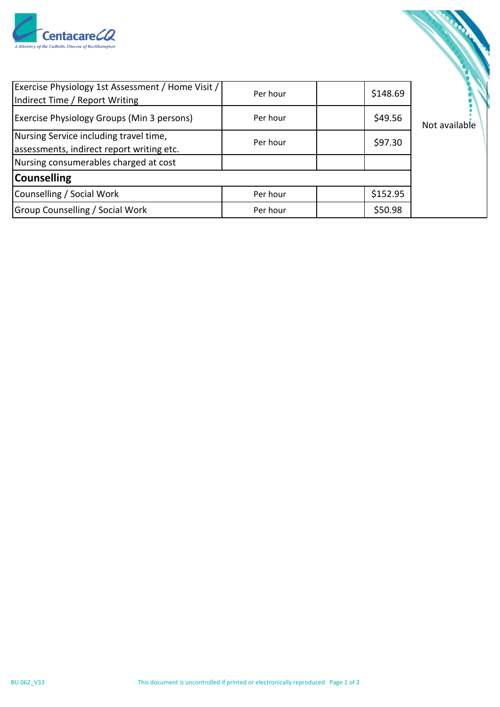

| Exercise Physiology 1st Assessment / Home Visit /<br>Indirect Time / Report Writing | Per hour | \$148.69 |               |
|-------------------------------------------------------------------------------------|----------|----------|---------------|
| <b>Exercise Physiology Groups (Min 3 persons)</b>                                   | Per hour | \$49.56  | Not available |
| Nursing Service including travel time,<br>assessments, indirect report writing etc. | Per hour | \$97.30  |               |
| Nursing consumerables charged at cost                                               |          |          |               |
| <b>Counselling</b>                                                                  |          |          |               |
| Counselling / Social Work                                                           | Per hour | \$152.95 |               |
| <b>Group Counselling / Social Work</b>                                              | Per hour | \$50.98  |               |

S. Sandwick

, G